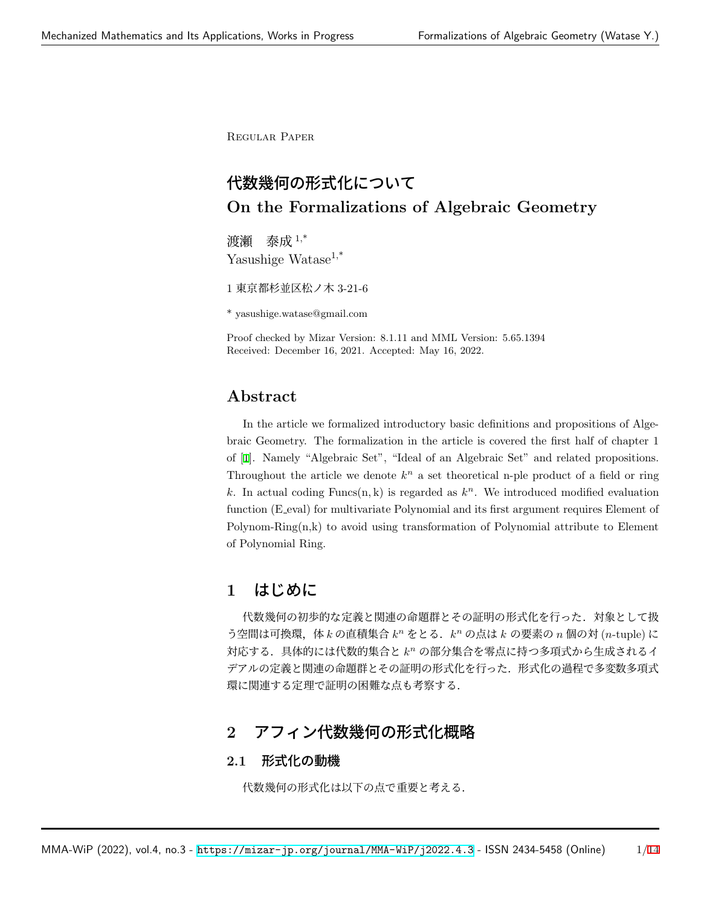Regular Paper

# 代数幾何の形式化について **On the Formalizations of Algebraic Geometry**

渡瀬 泰成 1,\* Yasushige Watase<sup>1,\*</sup>

1 東京都杉並区松ノ木 3-21-6

\* yasushige.watase@gmail.com

Proof checked by Mizar Version: 8.1.11 and MML Version: 5.65.1394 Received: December 16, 2021. Accepted: May 16, 2022.

## **Abstract**

In the article we formalized introductory basic definitions and propositions of Algebraic Geometry. The formalization in the article is covered the first half of chapter 1 of [[1\]](#page-6-0). Namely "Algebraic Set", "Ideal of an Algebraic Set" and related propositions. Throughout the article we denote  $k^n$  a set theoretical n-ple product of a field or ring k. In actual coding  $\text{Funcs}(n, k)$  is regarded as  $k^n$ . We introduced modified evaluation function (E eval) for multivariate Polynomial and its first argument requires Element of  $Polynomial$  attribute to Element of Polynomial Ring.

## **1** はじめに

代数幾何の初歩的な定義と関連の命題群とその証明の形式化を行った.対象として扱 う空間は可換環,体kの直積集合  $k^n$  をとる.  $k^n$  の点はk の要素の *n* 個の対 (*n*-tuple) に 対応する.具体的には代数的集合と *k <sup>n</sup>* の部分集合を零点に持つ多項式から生成されるイ デアルの定義と関連の命題群とその証明の形式化を行った.形式化の過程で多変数多項式 環に関連する定理で証明の困難な点も考察する.

## **2** アフィン代数幾何の形式化概略

## **2.1** 形式化の動機

代数幾何の形式化は以下の点で重要と考える.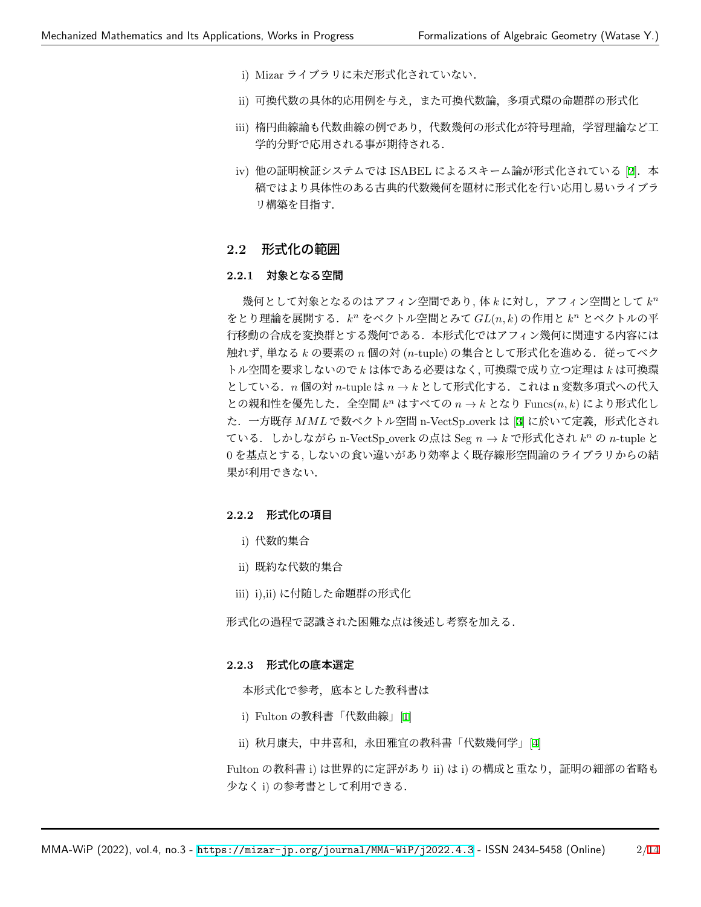- i) Mizar ライブラリに未だ形式化されていない.
- ii) 可換代数の具体的応用例を与え,また可換代数論,多項式環の命題群の形式化
- iii) 楕円曲線論も代数曲線の例であり,代数幾何の形式化が符号理論,学習理論など工 学的分野で応用される事が期待される.
- iv) 他の証明検証システムでは ISABEL によるスキーム論が形式化されている [\[2](#page-6-1)]. 本 稿ではより具体性のある古典的代数幾何を題材に形式化を行い応用し易いライブラ リ構築を目指す.

## **2.2** 形式化の範囲

#### **2.2.1** 対象となる空間

幾何として対象となるのはアフィン空間であり, 体 *k* に対し,アフィン空間として  $k^n$ をとり理論を展開する.*k <sup>n</sup>* をベクトル空間とみて *GL*(*n, k*) の作用と *k <sup>n</sup>* とベクトルの平 行移動の合成を変換群とする幾何である.本形式化ではアフィン幾何に関連する内容には 触れず, 単なる *k* の要素の n 個の対 (n-tuple) の集合として形式化を進める. 従ってベク トル空間を要求しないので *k* は体である必要はなく, 可換環で成り立つ定理は *k* は可換環 としている.*n* 個の対 *n*-tuple は *n → k* として形式化する.これは n 変数多項式への代入 との親和性を優先した.全空間 *k <sup>n</sup>* はすべての *n → k* となり Funcs(*n, k*) により形式化し た.一方既存 *MML* で数ベクトル空間 n-VectSp overk は [\[3](#page-6-2)] に於いて定義,形式化され ている.しかしながら n-VectSp overk の点は Seg *n → k* で形式化され *k <sup>n</sup>* の *n*-tuple と 0 を基点とする, しないの食い違いがあり効率よく既存線形空間論のライブラリからの結 果が利用できない.

#### **2.2.2** 形式化の項目

- i) 代数的集合
- ii) 既約な代数的集合
- iii) i),ii) に付随した命題群の形式化

形式化の過程で認識された困難な点は後述し考察を加える.

#### **2.2.3** 形式化の底本選定

本形式化で参考,底本とした教科書は

- i) Fulton の教科書「代数曲線」[\[1](#page-6-0)]
- ii) 秋月康夫,中井喜和,永田雅宜の教科書「代数幾何学」[\[4](#page-6-3)]

Fulton の教科書 i) は世界的に定評があり ii) は i) の構成と重なり, 証明の細部の省略も 少なく i) の参考書として利用できる.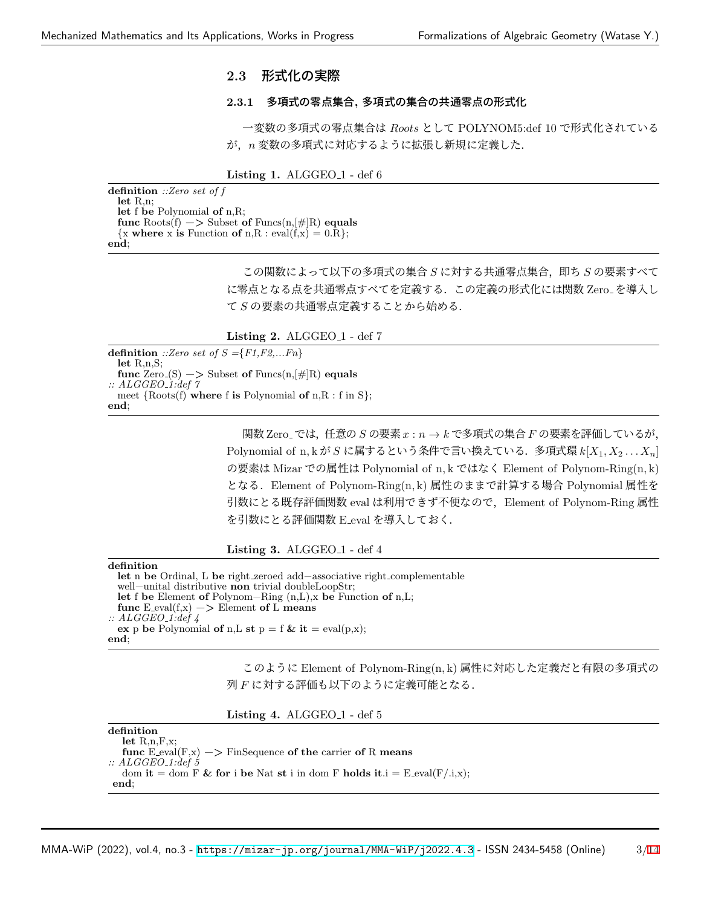### **2.3** 形式化の実際

#### **2.3.1** 多項式の零点集合**,** 多項式の集合の共通零点の形式化

一変数の多項式の零点集合は *Roots* として POLYNOM5:def 10 で形式化されている が,*n* 変数の多項式に対応するように拡張し新規に定義した.

**Listing 1. ALGGEO<sub>-1</sub> - def 6** 

**definition** *::Zero set of f* **let** R,n; **let** f **be** Polynomial **of** n,R; **func** Roots(f) −*>* Subset **of** Funcs(n,[#]R) **equals**  $\{x \text{ where } x \text{ is Function of } n, R : \text{eval}(f, x) = 0. R\};$ **end**;

> この関数によって以下の多項式の集合 *S* に対する共通零点集合,即ち *S* の要素すべて に零点となる点を共通零点すべてを定義する.この定義の形式化には関数 Zero を導入し て *S* の要素の共通零点定義することから始める.

**Listing 2.** ALGGEO<sub>-1</sub> - def 7

**definition** *::Zero set of S ={F1,F2,...Fn}* **let** R,n,S; **func**  $\text{Zero}(S) \longrightarrow$  Subset **of** Funcs $(n, \lvert \# \rvert R)$  **equals** *:: ALGGEO 1:def 7* meet *{*Roots(f) **where** f **is** Polynomial **of** n,R : f in S*}*; **end**;

> 関数 Zero では,任意の *S* の要素 *x* : *n → k* で多項式の集合 *F* の要素を評価しているが, Polynomial of n*,* k が *S* に属するという条件で言い換えている.多項式環 *k*[*X*1*, X*<sup>2</sup> *. . . Xn*] の要素は Mizar での属性は Polynomial of n*,* k ではなく Element of Polynom-Ring(n*,* k) となる.Element of Polynom-Ring(n*,* k) 属性のままで計算する場合 Polynomial 属性を 引数にとる既存評価関数 eval は利用できず不便なので, Element of Polynom-Ring 属性 を引数にとる評価関数 E eval を導入しておく.

**Listing 3.** ALGGEO<sub>-1</sub> - def 4

**definition let** n **be** Ordinal, L **be** right zeroed add−associative right complementable well−unital distributive **non** trivial doubleLoopStr; **let** f **be** Element **of** Polynom−Ring (n,L),x **be** Function **of** n,L;  $func$  E\_eval( $f$ ,x)  $\rightarrow$  Element of L means *:: ALGGEO 1:def 4* **ex** p **be** Polynomial **of** n,**L st**  $p = f$  **& it** = eval(p,x); **end**;

> このように Element of Polynom-Ring(n*,* k) 属性に対応した定義だと有限の多項式の 列 *F* に対する評価も以下のように定義可能となる.

|  | <b>Listing 4.</b> ALGGEO <sub>-1</sub> - def 5 |  |  |  |
|--|------------------------------------------------|--|--|--|
|--|------------------------------------------------|--|--|--|

| definition                                                                  |
|-----------------------------------------------------------------------------|
| let $R_{n}$ , $F_{n}$                                                       |
| func $E_{eval}(F,x) \rightarrow$ FinSequence of the carrier of R means      |
| $\therefore$ ALGGEO <sub>-1</sub> :def 5                                    |
| dom it = dom F & for i be Nat st i in dom F holds it $i = E$ -eval(F/.i,x); |
| end:                                                                        |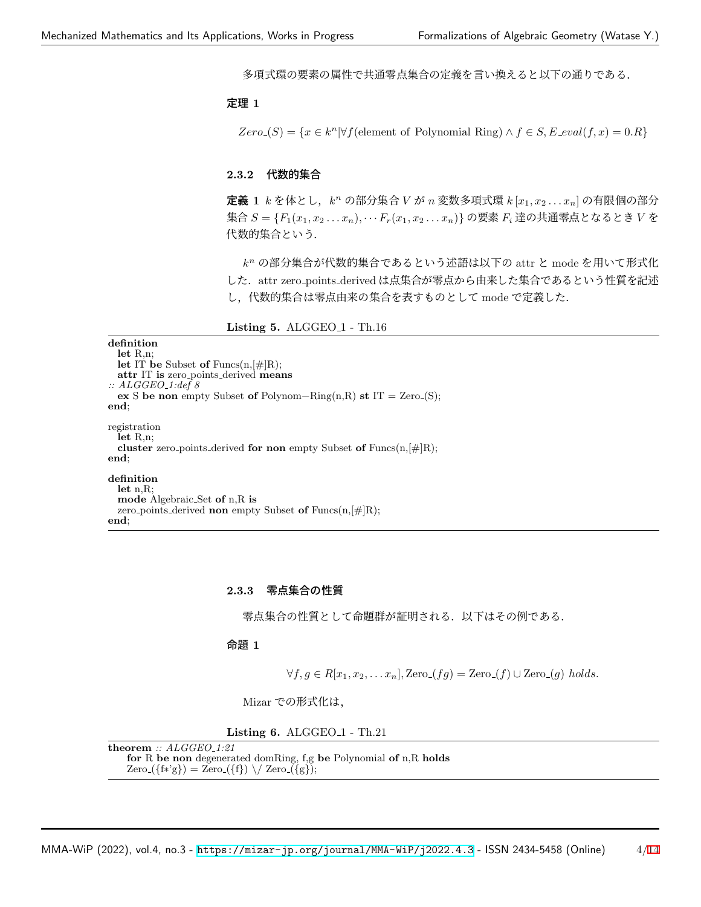多項式環の要素の属性で共通零点集合の定義を言い換えると以下の通りである.

#### 定理 **1**

 $Zero(S) = \{x \in k^n | \forall f$ (element of Polynomial Ring)  $\land f \in S$ ,  $E$ <sub>-</sub> $eval(f, x) = 0$ .*R* $}$ 

#### **2.3.2** 代数的集合

定義 **1** *k* を体とし,*k <sup>n</sup>* の部分集合 *V* が *n* 変数多項式環 *k* [*x*1*, x*<sup>2</sup> *. . . xn*] の有限個の部分 集合 *S* = *{F*1(*x*1*, x*<sup>2</sup> *. . . xn*)*, · · · Fr*(*x*1*, x*<sup>2</sup> *. . . xn*)*}* の要素 *F<sup>i</sup>* 達の共通零点となるとき *V* を 代数的集合という.

*k <sup>n</sup>* の部分集合が代数的集合であるという述語は以下の attr と mode を用いて形式化 した. attr zero\_points\_derived は点集合が零点から由来した集合であるという性質を記述 し,代数的集合は零点由来の集合を表すものとして mode で定義した.

**Listing 5.** ALGGEO 1 - Th.16

**definition let** R,n; **let** IT **be** Subset **of** Funcs(n,[#]R); **attr** IT **is** zero points derived **means** *:: ALGGEO 1:def 8* **ex** S **be non** empty Subset **of** Polynom−Ring(n,R) **st** IT = Zero (S); **end**; registration **let** R,n; **cluster** zero points derived **for non** empty Subset **of** Funcs(n,[#]R); **end**; **definition let** n,R; **mode** Algebraic Set **of** n,R **is** zero points derived **non** empty Subset **of** Funcs(n,[#]R); **end**;

### **2.3.3** 零点集合の性質

零点集合の性質として命題群が証明される.以下はその例である.

### 命題 **1**

 $∀f, g ∈ R[x_1, x_2, \ldots x_n],$  Zero<sub>-</sub> $(fg) =$  Zero<sub>-</sub> $(f) ∪$  Zero<sub>-</sub> $(g)$  *holds.* 

Mizar での形式化は,

**Listing 6.** ALGGEO 1 - Th.21

**theorem** *:: ALGGEO 1:21* **for** R **be non** degenerated domRing, f,g **be** Polynomial **of** n,R **holds**  $Zero({f*'g}) = Zero({f}) \ \sqrt{Zero({g})};$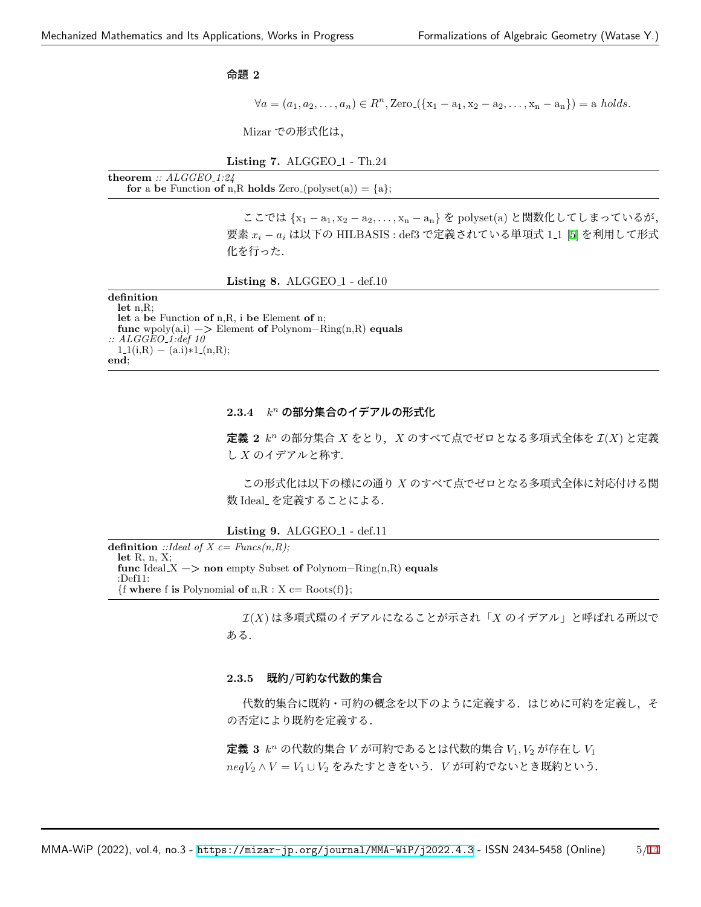#### 命題 **2**

 $\forall a = (a_1, a_2, \dots, a_n) \in R^n$ , Zero ({ $x_1 - a_1, x_2 - a_2, \dots, x_n - a_n$ }) = a *holds.* 

Mizar での形式化は,

**Listing 7.** ALGGEO 1 - Th.24

**theorem** *:: ALGGEO 1:24* for a be Function of n,R holds Zero (polyset(a)) =  $\{a\}$ ;

> ここでは *{*x<sup>1</sup> *−* a1*,* x<sup>2</sup> *−* a2*, . . . ,* x<sup>n</sup> *−* an*}* を polyset(a) と関数化してしまっているが, 要素 *x<sup>i</sup> − a<sup>i</sup>* は以下の HILBASIS : def3 で定義されている単項式 1 1 [\[5](#page-6-4)] を利用して形式 化を行った.

**Listing 8.** ALGGEO 1 - def.10

#### **definition let** n,R; **let** a **be** Function **of** n,R, i **be** Element **of** n; **func** wpoly(a,i) −*>* Element **of** Polynom−Ring(n,R) **equals** *:: ALGGEO 1:def 10*  $1.1(i,R) - (a.i)*1.(n,R);$ **end**;

### **2.3.4** *k <sup>n</sup>* の部分集合のイデアルの形式化

定義 **2** *k <sup>n</sup>* の部分集合 *X* をとり,*X* のすべて点でゼロとなる多項式全体を *I*(*X*) と定義 し *X* のイデアルと称す.

この形式化は以下の様にの通り *X* のすべて点でゼロとなる多項式全体に対応付ける関 数 Ideal を定義することによる.

**Listing 9.** ALGGEO 1 - def.11

**definition** ::*Ideal of X c= Funcs(n,R)*; **let** R, n, X; **func** Ideal X −*>* **non** empty Subset **of** Polynom−Ring(n,R) **equals** :Def11:  ${$  **f where f is** Polynomial **of**  $n, R : X \subset R$  Roots(f)};

> *I*(*X*) は多項式環のイデアルになることが示され「*X* のイデアル」と呼ばれる所以で ある.

#### **2.3.5** 既約**/**可約な代数的集合

代数的集合に既約・可約の概念を以下のように定義する.はじめに可約を定義し,そ の否定により既約を定義する.

定義 **3** *k <sup>n</sup>* の代数的集合 *V* が可約であるとは代数的集合 *V*1*, V*<sup>2</sup> が存在し *V*<sup>1</sup> *neqV*<sup>2</sup> *∧ V* = *V*<sup>1</sup> *∪ V*<sup>2</sup> をみたすときをいう.*V* が可約でないとき既約という.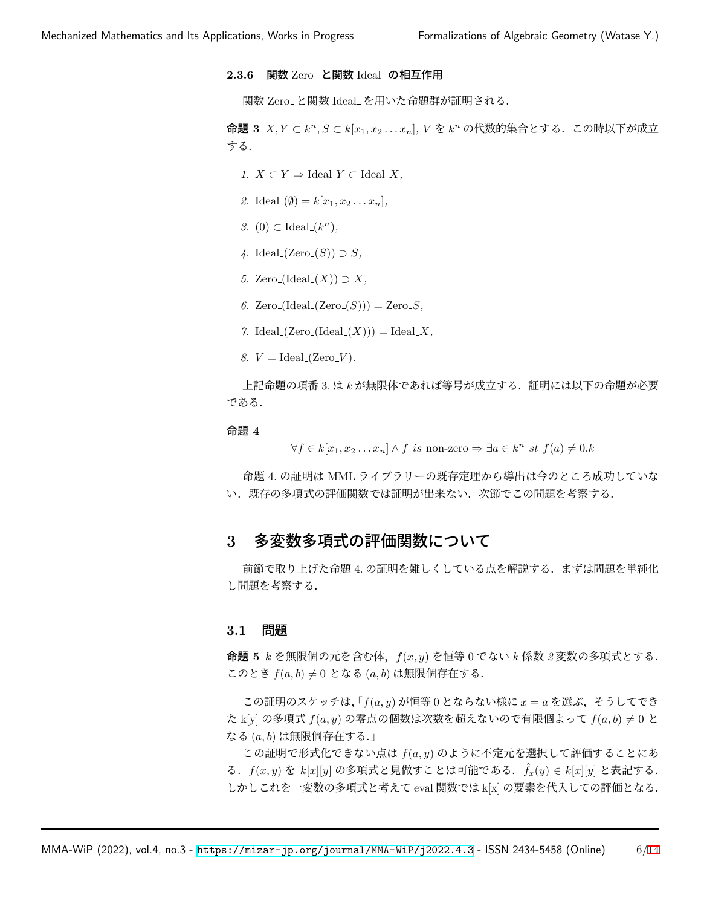### 2.3.6 関数 Zero\_ と関数 Ideal\_ の相互作用

関数 Zero\_ と関数 Ideal\_ を用いた命題群が証明される.

命題 **3** *X, Y ⊂ k <sup>n</sup>, S ⊂ k*[*x*1*, x*<sup>2</sup> *. . . xn*]*, V* を *k <sup>n</sup>* の代数的集合とする.この時以下が成立 する.

- *1.*  $X \subset Y \Rightarrow \text{Ideal}_Y \subset \text{Ideal}_X$ ,
- 2. Ideal  $(\emptyset) = k[x_1, x_2, \ldots, x_n],$
- *3.* (0) ⊂ Ideal<sub>-</sub> $(k<sup>n</sup>)$ *,*
- *4.* Ideal (Zero (*S*)) *⊃ S,*
- *5.* Zero\_(Ideal\_ $(X)$ ) ⊃  $X$ ,
- 6. Zero<sub>-</sub>(Ideal<sub>-</sub>(Zero<sub>-</sub> $(S$ ))) = Zero<sub>-</sub> $S$ *,*
- $7.$  Ideal  $(Zero_{\text{-}}(\text{Ideal}_{\text{-}}(X))) = \text{Ideal}_{\text{-}}X$ ,
- *8.*  $V = \text{Ideal}(Zero\_V)$ *.*

上記命題の項番 3. は *k* が無限体であれば等号が成立する.証明には以下の命題が必要 である.

#### 命題 **4**

*∀f*  $\in$  *k*[*x*<sub>1</sub>*, x*<sub>2</sub> *. . . x<sub>n</sub>*] *∧ f is* non-zero  $\Rightarrow$  ∃*a*  $\in$  *k*<sup>*n*</sup> *st f*(*a*)  $\neq$  0*.k* 

命題 4. の証明は MML ライブラリーの既存定理から導出は今のところ成功していな い.既存の多項式の評価関数では証明が出来ない.次節でこの問題を考察する.

## **3** 多変数多項式の評価関数について

前節で取り上げた命題 4. の証明を難しくしている点を解説する.まずは問題を単純化 し問題を考察する.

### **3.1** 問題

命題 **5** *k* を無限個の元を含む体,*f*(*x, y*) を恒等 0 でない *k* 係数 *2* 変数の多項式とする. このとき *f*(*a, b*) *̸*= 0 となる (*a, b*) は無限個存在する.

この証明のスケッチは,  $\lceil f(a, y) \rceil$ が恒等 0 とならない様に  $x = a$  を選ぶ, そうしてでき た k[y] の多項式 *f*(*a, y*) の零点の個数は次数を超えないので有限個よって *f*(*a, b*) *̸*= 0 と なる (*a, b*) は無限個存在する.」

この証明で形式化できない点は *f*(*a, y*) のように不定元を選択して評価することにあ る.*f*(*x, y*) を *k*[*x*][*y*] の多項式と見做すことは可能である. ˆ*fx*(*y*) *∈ k*[*x*][*y*] と表記する. しかしこれを一変数の多項式と考えて eval 関数では k[x] の要素を代入しての評価となる.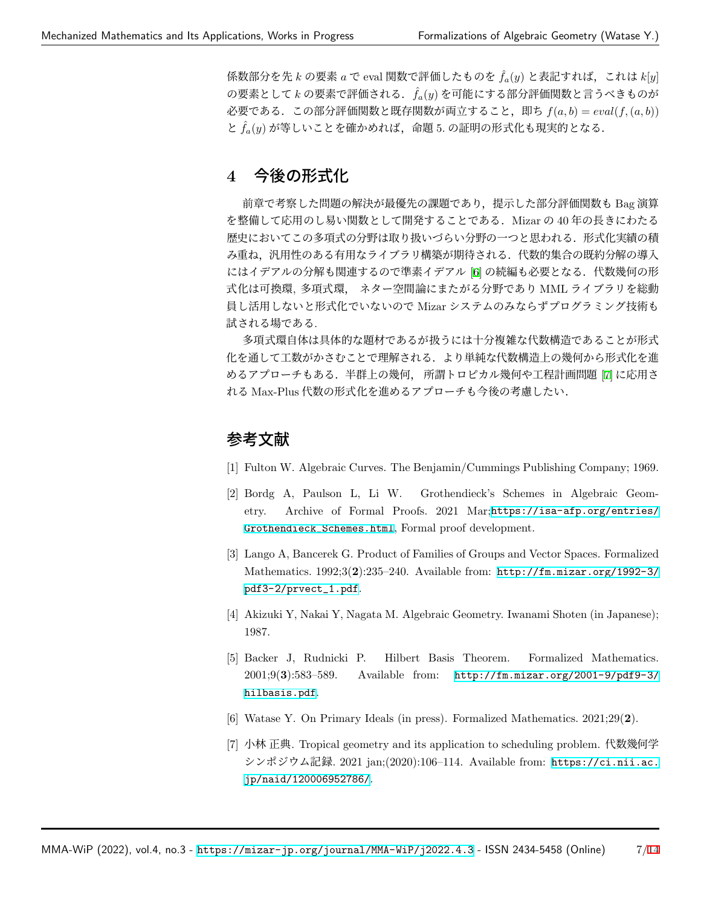係数部分を先 *k* の要素 *a* で eval 関数で評価したものを ˆ*fa*(*y*) と表記すれば,これは *k*[*y*] の要素として *k* の要素で評価される. ˆ*fa*(*y*) を可能にする部分評価関数と言うべきものが 必要である.この部分評価関数と既存関数が両立すること,即ち *f*(*a, b*) = *eval*(*f,*(*a, b*))  $\sum \hat{f}_a(y)$ が等しいことを確かめれば、命題 5. の証明の形式化も現実的となる.

## **4** 今後の形式化

前章で考察した問題の解決が最優先の課題であり、提示した部分評価関数も Bag 演算 を整備して応用のし易い関数として開発することである.Mizar の 40 年の長きにわたる 歴史においてこの多項式の分野は取り扱いづらい分野の一つと思われる. 形式化実績の積 み重ね,汎用性のある有用なライブラリ構築が期待される.代数的集合の既約分解の導入 にはイデアルの分解も関連するので準素イデアル [[6\]](#page-6-5) の続編も必要となる. 代数幾何の形 式化は可換環, 多項式環, ネター空間論にまたがる分野であり MML ライブラリを総動 員し活用しないと形式化でいないので Mizar システムのみならずプログラミング技術も 試される場である.

多項式環自体は具体的な題材であるが扱うには十分複雑な代数構造であることが形式 化を通して工数がかさむことで理解される.より単純な代数構造上の幾何から形式化を進 めるアプローチもある.半群上の幾何, 所謂トロピカル幾何や工程計画問題 [\[7](#page-6-6)] に応用さ れる Max-Plus 代数の形式化を進めるアプローチも今後の考慮したい.

## 参考文献

- <span id="page-6-0"></span>[1] Fulton W. Algebraic Curves. The Benjamin/Cummings Publishing Company; 1969.
- <span id="page-6-1"></span>[2] Bordg A, Paulson L, Li W. Grothendieck's Schemes in Algebraic Geometry. Archive of Formal Proofs. 2021 Mar;[https://isa-afp.org/entries/](https://isa-afp.org/entries/Grothendieck_Schemes.html) [Grothendieck\\_Schemes.html](https://isa-afp.org/entries/Grothendieck_Schemes.html), Formal proof development.
- <span id="page-6-2"></span>[3] Lango A, Bancerek G. Product of Families of Groups and Vector Spaces. Formalized Mathematics. 1992;3(**2**):235–240. Available from: [http://fm.mizar.org/1992-3/](http://fm.mizar.org/1992-3/pdf3-2/prvect_1.pdf) [pdf3-2/prvect\\_1.pdf](http://fm.mizar.org/1992-3/pdf3-2/prvect_1.pdf).
- <span id="page-6-3"></span>[4] Akizuki Y, Nakai Y, Nagata M. Algebraic Geometry. Iwanami Shoten (in Japanese); 1987.
- <span id="page-6-4"></span>[5] Backer J, Rudnicki P. Hilbert Basis Theorem. Formalized Mathematics. 2001;9(**3**):583–589. Available from: [http://fm.mizar.org/2001-9/pdf9-3/](http://fm.mizar.org/2001-9/pdf9-3/hilbasis.pdf) [hilbasis.pdf](http://fm.mizar.org/2001-9/pdf9-3/hilbasis.pdf).
- <span id="page-6-5"></span>[6] Watase Y. On Primary Ideals (in press). Formalized Mathematics. 2021;29(**2**).
- <span id="page-6-6"></span>[7] 小林 正典. Tropical geometry and its application to scheduling problem. 代数幾何学 シンポジウム記録. 2021 jan;(2020):106–114. Available from: [https://ci.nii.ac.](https://ci.nii.ac.jp/naid/120006952786/) [jp/naid/120006952786/](https://ci.nii.ac.jp/naid/120006952786/).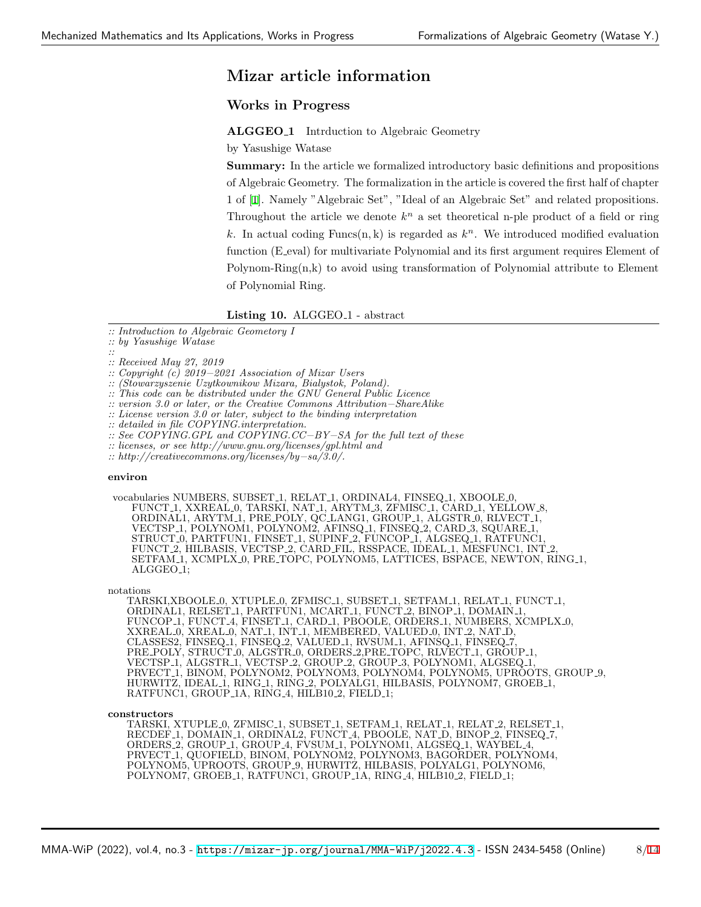## **Mizar article information**

### **Works in Progress**

**ALGGEO 1** Intrduction to Algebraic Geometry

by Yasushige Watase

**Summary:** In the article we formalized introductory basic definitions and propositions of Algebraic Geometry. The formalization in the article is covered the first half of chapter 1 of [\[1](#page-6-0)]. Namely "Algebraic Set", "Ideal of an Algebraic Set" and related propositions. Throughout the article we denote  $k^n$  a set theoretical n-ple product of a field or ring k. In actual coding  $\text{Funcs}(n, k)$  is regarded as  $k^n$ . We introduced modified evaluation function (E eval) for multivariate Polynomial and its first argument requires Element of Polynom-Ring(n,k) to avoid using transformation of Polynomial attribute to Element of Polynomial Ring.

#### Listing 10. ALGGEO<sub>-1</sub> - abstract

*:: Introduction to Algebraic Geometory I*

*:: by Yasushige Watase*

*:: :: Received May 27, 2019*

*:: Copyright (c) 2019−2021 Association of Mizar Users*

*:: (Stowarzyszenie Uzytkownikow Mizara, Bialystok, Poland).*

*:: This code can be distributed under the GNU General Public Licence*

*:: version 3.0 or later, or the Creative Commons Attribution−ShareAlike*

*:: License version 3.0 or later, subject to the binding interpretation*

*:: detailed in file COPYING.interpretation.*

*:: See COPYING.GPL and COPYING.CC−BY−SA for the full text of these*

*:: licenses, or see http://www.gnu.org/licenses/gpl.html and*

*:: http://creativecommons.org/licenses/by−sa/3.0/.*

#### **environ**

vocabularies NUMBERS, SUBSET 1, RELAT 1, ORDINAL4, FINSEQ 1, XBOOLE 0, FUNCT 1, XXREAL 0, TARSKI, NAT 1, ARYTM 3, ZFMISC 1, CARD 1, YELLOW 8, ORDINAL1, ARYTM 1, PRE POLY, QC LANG1, GROUP 1, ALGSTR 0, RLVECT 1, VECTSP 1, POLYNOM1, POLYNOM2, AFINSQ 1, FINSEQ 2, CARD 3, SQUARE 1, STRUCT 0, PARTFUN1, FINSET 1, SUPINF 2, FUNCOP 1, ALGSEQ 1, RATFUNC1, FUNCT 2, HILBASIS, VECTSP 2, CARD FIL, RSSPACE, IDEAL 1, MESFUNC1, INT 2, SETFAM 1, XCMPLX 0, PRE TOPC, POLYNOM5, LATTICES, BSPACE, NEWTON, RING 1, ALGGEO<sub>-1</sub>;

notations

TARSKI,XBOOLE 0, XTUPLE 0, ZFMISC 1, SUBSET 1, SETFAM 1, RELAT 1, FUNCT 1, ORDINAL1, RELSET 1, PARTFUN1, MCART 1, FUNCT 2, BINOP 1, DOMAIN 1, FUNCOP 1, FUNCT 4, FINSET 1, CARD 1, PBOOLE, ORDERS 1, NUMBERS, XCMPLX 0, XXREAL 0, XREAL 0, NAT 1, INT 1, MEMBERED, VALUED 0, INT 2, NAT D, CLASSES2, FINSEQ 1, FINSEQ 2, VALUED 1, RVSUM 1, AFINSQ 1, FINSEQ 7, PRE POLY, STRUCT 0, ALGSTR 0, ORDERS 2,PRE TOPC, RLVECT 1, GROUP 1, VECTSP 1, ALGSTR 1, VECTSP 2, GROUP 2, GROUP 3, POLYNOM1, ALGSEQ 1, PRVECT 1, BINOM, PÓLYNOM2, POLYNOM3, POLYNOM4, POLYNOM5, UPROOTS, GROUP 9, HURWITZ, IDEAL 1, RING 1, RING 2, POLYALG1, HILBASIS, POLYNOM7, GROEB 1, RATFUNC1, GROUP\_1A, RING\_4, HILB10\_2, FIELD\_1;

**constructors**

TARSKI, XTUPLE 0, ZFMISC 1, SUBSET 1, SETFAM 1, RELAT 1, RELAT 2, RELSET 1, RECDEF 1, DOMAIN 1, ORDINAL2, FUNCT 4, PBOOLE, NAT D, BINOP 2, FINSEQ 7, ORDERS 2, GROUP 1, GROUP 4, FVSUM 1, POLYNOM1, ALGSEQ 1, WAYBEL 4, PRVECT 1, QUOFIELD, BINOM, POLYNOM2, POLYNOM3, BAGORDER, POLYNOM4, POLYNOM5, UPROOTS, GROUP 9, HURWITZ, HILBASIS, POLYALG1, POLYNOM6, POLYNOM7, GROEB<sub>-1</sub>, RATFUNC1, GROUP<sub>-1</sub>A, RING<sub>-4</sub>, HILB10<sub>-2</sub>, FIELD<sub>-1</sub>;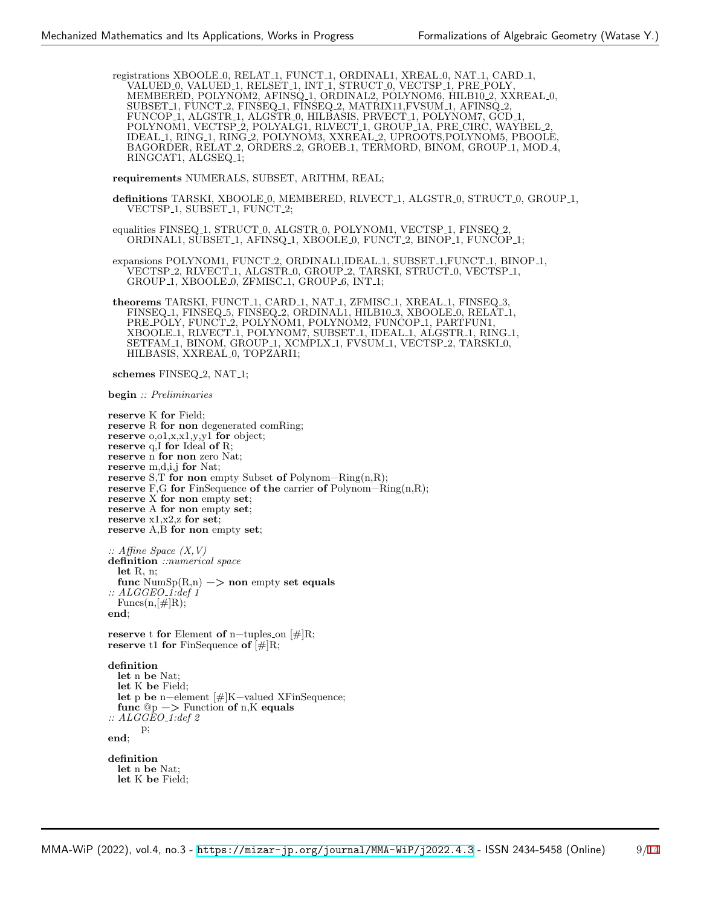registrations XBOOLE 0, RELAT 1, FUNCT 1, ORDINAL1, XREAL 0, NAT 1, CARD 1, VALUED 0, VALUED 1, RELSET 1, INT 1, STRUCT 0, VECTSP 1, PRE POLY, MEMBERED, POLYNOM2, AFINSQ<sub>-1</sub>, ORDINAL2, POLYNOM6, HILB10<sub>-2</sub>, XXREAL<sub>-0</sub>, SUBSET 1, FUNCT 2, FINSEQ 1, FINSEQ 2, MATRIX11,FVSUM 1, AFINSQ 2, FUNCOP<sub>-1</sub>, ALGSTR<sub>-1</sub>, ALGSTR<sub>-0</sub>, HILBASIS, PRVECT<sub>-1</sub>, POLYNOM7, GCD<sub>-1</sub> POLYNOM1, VECTSP 2, POLYALG1, RLVECT 1, GROUP 1A, PRE CIRC, WAYBEL 2, IDEAL 1, RING 1, RING 2, POLYNOM3, XXREAL 2, UPROOTS,POLYNOM5, PBOOLE, BAGORDER, RELAT 2, ORDERS 2, GROEB 1, TERMORD, BINOM, GROUP 1, MOD 4, RINGCAT1, ALGSEQ<sub>-1</sub>;

**requirements** NUMERALS, SUBSET, ARITHM, REAL;

definitions TARSKI, XBOOLE<sub>-0</sub>, MEMBERED, RLVECT<sub>-1</sub>, ALGSTR<sub>-0</sub>, STRUCT<sub>-0</sub>, GROUP<sub>-1</sub>, VECTSP<sub>-1</sub>, SUBSET<sub>-1</sub>, FUNCT<sub>-2</sub>;

equalities FINSEQ<sub>-1</sub>, STRUCT<sub>-0</sub>, ALGSTR<sub>-0</sub>, POLYNOM1, VECTSP<sub>-1</sub>, FINSEQ<sub>-2</sub>, ORDINAL1, SUBSET<sub>-1</sub>, AFINSQ<sub>-1</sub>, XBOOLE<sub>-0</sub>, FUNCT<sub>-2</sub>, BINOP<sub>-1</sub>, FUNCOP<sub>-1</sub>;

expansions POLYNOM1, FUNCT<sub>-2</sub>, ORDINAL1, IDEAL<sub>-1</sub>, SUBSET<sub>-1</sub>, FUNCT<sub>-1</sub>, BINOP<sub>-1</sub>, VECTSP 2, RLVECT 1, ALGSTR 0, GROUP 2, TARSKI, STRUCT 0, VECTSP 1, GROUP<sub>-1</sub>, XBOOLE<sub>-0</sub>, ZFMISC<sub>-1</sub>, GROUP<sub>-6</sub>, INT<sub>-1</sub>;

theorems TARSKI, FUNCT<sub>-1</sub>, CARD<sub>-1</sub>, NAT<sub>-1</sub>, ZFMISC<sub>-1</sub>, XREAL<sub>-1</sub>, FINSEQ<sub>-3</sub> FINSEQ 1, FINSEQ 5, FINSEQ 2, ORDINAL1, HILB10 3, XBOOLE 0, RELAT 1, PRE POLY, FUNCT 2, POLYNOM1, POLYNOM2, FUNCOP 1, PARTFUN1, XBOOLE<sub>1</sub>, RLVECT<sub>1</sub>, POLYNOM7, SUBSET<sub>1</sub>, IDEAL<sub>1</sub>, ALGSTR<sub>1</sub>, RING<sub>1</sub>, SETFAM 1, BINOM, GROUP 1, XCMPLX 1, FVSUM 1, VECTSP 2, TARSKI 0, HILBASIS, XXREAL 0, TOPZARI1;

**schemes** FINSEQ<sub>-2</sub>, NAT<sub>-1</sub>;

**begin** *:: Preliminaries*

**reserve** K **for** Field; **reserve** R **for non** degenerated comRing; **reserve** o,o1,x,x1,y,y1 **for** object; **reserve** q,I **for** Ideal **of** R; **reserve** n **for non** zero Nat; **reserve** m,d,i,j **for** Nat; **reserve** S,T **for non** empty Subset **of** Polynom−Ring(n,R); **reserve** F,G **for** FinSequence **of the** carrier **of** Polynom−Ring(n,R); **reserve** X **for non** empty **set**; **reserve** A **for non** empty **set**; **reserve** x1,x2,z **for set**; **reserve** A,B **for non** empty **set**; *:: Affine Space (X,V)* **definition** *::numerical space* **let** R, n;  ${\rm func~} \text{NumSp}(R,n) \longrightarrow {\rm non~empty~ set~ equals}$ *:: ALGGEO 1:def 1*  $Funcs(n,[\#]R);$ **end**; **reserve** t **for** Element **of** n−tuples on [#]R; **reserve** t1 **for** FinSequence **of** [#]R; **definition let** n **be** Nat; **let** K **be** Field; **let** p **be** n−element [#]K−valued XFinSequence; **func** @p −*>* Function **of** n,K **equals** *:: ALGGEO 1:def 2* p; **end**; **definition let** n **be** Nat; **let** K **be** Field;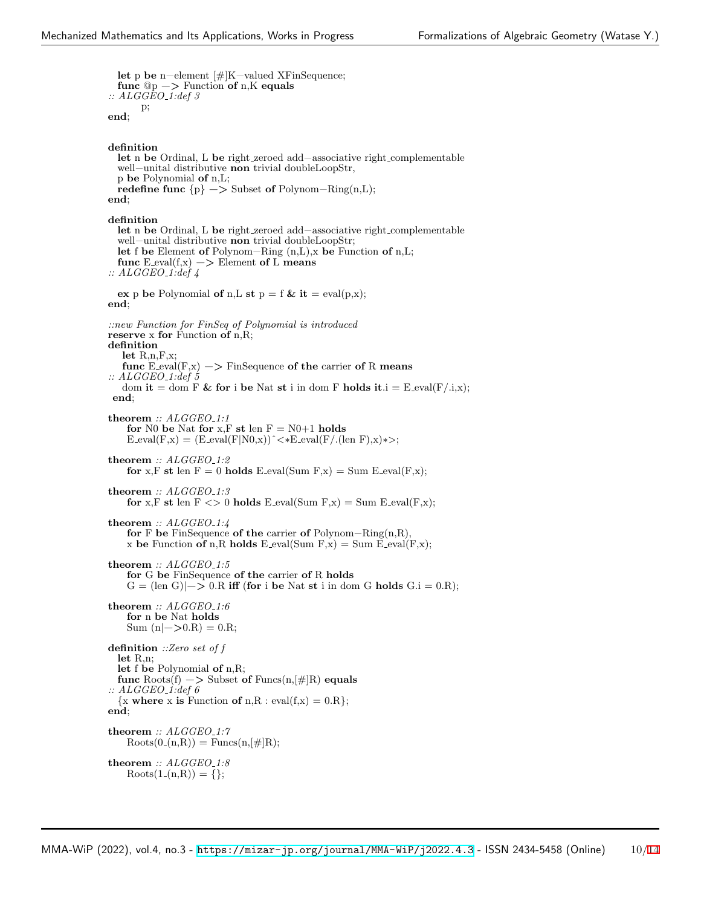**let** p **be** n−element [#]K−valued XFinSequence; **func** @p −*>* Function **of** n,K **equals** *:: ALGGEO 1:def 3* p; **end**;

**definition let** n **be** Ordinal, L **be** right zeroed add−associative right complementable well−unital distributive **non** trivial doubleLoopStr, p **be** Polynomial **of** n,L; **redefine func** *{*p*}* −*>* Subset **of** Polynom−Ring(n,L); **end**; **definition let** n **be** Ordinal, L **be** right zeroed add−associative right complementable well−unital distributive **non** trivial doubleLoopStr; **let** f **be** Element **of** Polynom−Ring (n,L),x **be** Function **of** n,L; func  $E$ <sub>-eval</sub>( $f$ <sub>,x</sub>) −> Element of L means *:: ALGGEO 1:def 4* **ex** p **be** Polynomial **of** n,**L st**  $p = f$  **& it** = eval(p,x); **end**; *::new Function for FinSeq of Polynomial is introduced* **reserve** x **for** Function **of** n,R; **definition let** R,n,F,x; **func**  $E_{eval}(F,x) \longrightarrow$  FinSequence of the carrier of R means *:: ALGGEO 1:def 5* dom **it** = dom F & for i be Nat st i in dom F holds it  $i = E$  eval(F/.i,x); **end**; **theorem** *:: ALGGEO 1:1* **for** N0 **be** Nat **for** x,F **st** len  $F = N0+1$  **holds**  $E$ \_eval(F,x) = ( $E$ \_eval(F|N0,x))^<\* $E$ \_eval(F/.(len F),x)\*>; **theorem** *:: ALGGEO 1:2* **for** x,F **st** len  $F = 0$  **holds** E\_eval(Sum  $F$ ,x) = Sum E\_eval( $F$ ,x); **theorem** *:: ALGGEO 1:3* **for** x,F **st** len  $F \leq 0$  **holds** E\_eval(Sum  $F$ ,x) = Sum E\_eval( $F$ ,x); **theorem** *:: ALGGEO 1:4* **for** F **be** FinSequence **of the** carrier **of** Polynom−Ring(n,R), x be Function of n,R holds  $E$ -eval(Sum  $F$ ,x) = Sum  $E$ -eval( $F$ ,x); **theorem** *:: ALGGEO 1:5* **for** G **be** FinSequence **of the** carrier **of** R **holds**  $G = (\text{len } G)| \rightarrow 0.R \text{ iff (for i be Nat st i in dom G holds } G.i = 0.R);$ **theorem** *:: ALGGEO 1:6* **for** n **be** Nat **holds**  $Sum (n |->0.R) = 0.R;$ **definition** *::Zero set of f* **let** R,n; **let** f **be** Polynomial **of** n,R; **func** Roots(f) −*>* Subset **of** Funcs(n,[#]R) **equals** *:: ALGGEO 1:def 6*  $\{x \text{ where } x \text{ is Function of } n, R : \text{eval}(f, x) = 0. R\};$ **end**; **theorem** *:: ALGGEO 1:7*  $Roots(0_{-}(n,R)) = Funcs(n, \lceil \# \rceil R);$ **theorem** *:: ALGGEO 1:8*  $Roots(1_{-}(n,R)) = \{\};$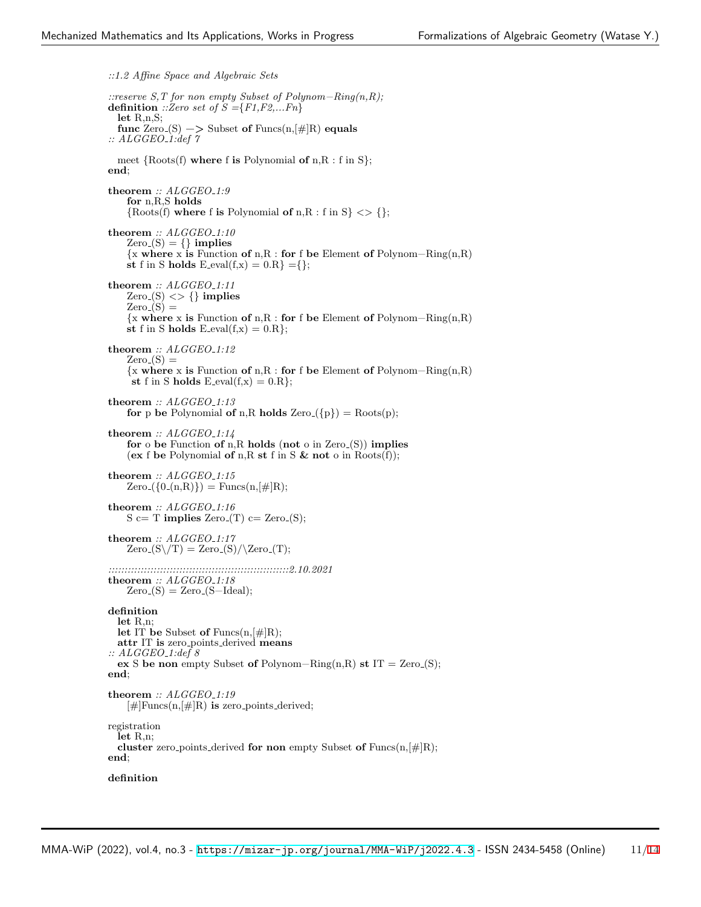*::1.2 Affine Space and Algebraic Sets ::reserve S,T for non empty Subset of Polynom−Ring(n,R);* **definition** *::Zero set of S ={F1,F2,...Fn}* **let** R,n,S; func  $\text{Zero}(S)$   $\rightarrow$  Subset of  $\text{Funcs}(n, \lvert \# \rvert R)$  **equals** *:: ALGGEO 1:def 7* meet *{*Roots(f) **where** f **is** Polynomial **of** n,R : f in S*}*; **end**; **theorem** *:: ALGGEO 1:9* **for** n,R,S **holds** *{*Roots(f) **where** f **is** Polynomial **of** n,R : f in S*} <> {}*; **theorem** *:: ALGGEO 1:10*  $Zero(S) = \{\}\$ implies *{*x **where** x **is** Function **of** n,R : **for** f **be** Element **of** Polynom−Ring(n,R) st f in S holds  $E$ -eval(f,x) = 0.R} ={}; **theorem** *:: ALGGEO 1:11*  $Zero(S) \iff \{\}$  implies  $Zero(S) =$ *{*x **where** x **is** Function **of** n,R : **for** f **be** Element **of** Polynom−Ring(n,R) st f in S **holds** E\_eval(f,x) =  $0.R$ }; **theorem** *:: ALGGEO 1:12*  $Zero(S)$  = *{*x **where** x **is** Function **of** n,R : **for** f **be** Element **of** Polynom−Ring(n,R) **st** f in S **holds** E\_eval(f,x) =  $0.R$ }; **theorem** *:: ALGGEO 1:13* **for** p be Polynomial of n,R holds  $Zero(\{p\}) = Roots(p)$ ; **theorem** *:: ALGGEO 1:14* **for** o **be** Function **of** n,R **holds** (**not** o in Zero (S)) **implies** (**ex** f **be** Polynomial **of** n,R **st** f in S **& not** o in Roots(f)); **theorem** *:: ALGGEO 1:15*  $Zero({0(n,R)}$  = Funcs(n,[#]R); **theorem** *:: ALGGEO 1:16*  $S \subset T$  **implies** Zero<sub>-</sub>(T)  $c =$  Zero<sub>-</sub>(S); **theorem** *:: ALGGEO 1:17*  $Zero(S\Y) = Zero(S)/\Zero(T);$ *::::::::::::::::::::::::::::::::::::::::::::::::::::::::2.10.2021* **theorem** *:: ALGGEO 1:18*  $Zero(S) = Zero(S-Ideal);$ **definition let** R,n; **let** IT **be** Subset **of** Funcs(n,[#]R); **attr** IT **is** zero points derived **means** *:: ALGGEO 1:def 8* **ex** S **be non** empty Subset **of** Polynom–Ring(n,R) **st** IT = Zero<sub>-</sub>(S); **end**; **theorem** *:: ALGGEO 1:19*  $|\#| \text{Funcs}(n, |\#| R)$  is zero-points-derived; registration **let** R,n; **cluster** zero points derived **for non** empty Subset **of** Funcs(n,[#]R); **end**; **definition**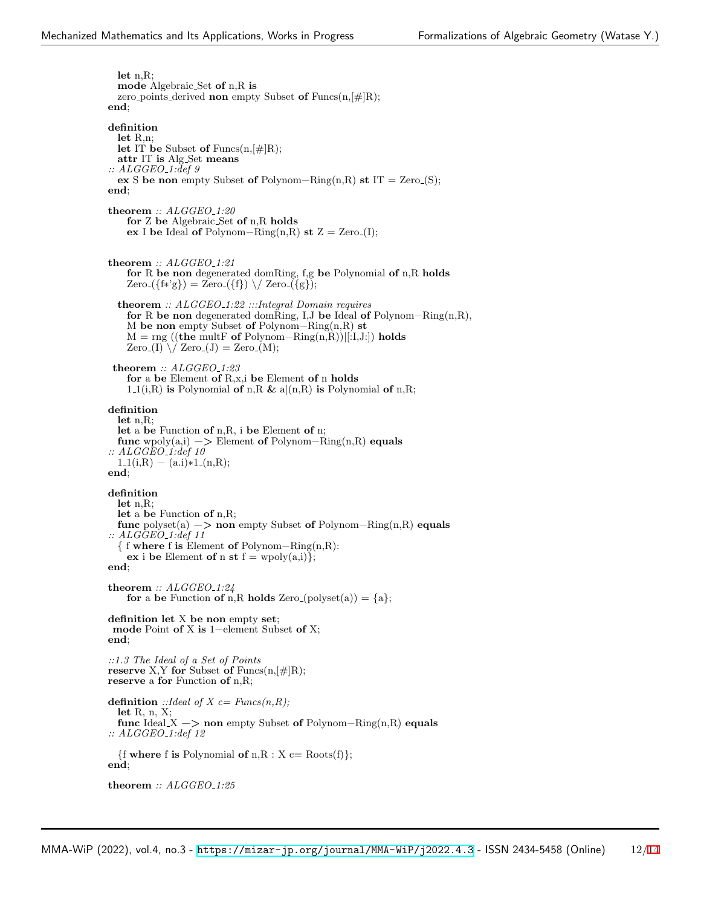**let** n,R; **mode** Algebraic Set **of** n,R **is** zero points derived **non** empty Subset **of** Funcs(n,[#]R); **end**; **definition let** R,n; **let** IT **be** Subset **of** Funcs(n,[#]R); **attr** IT **is** Alg Set **means** *:: ALGGEO 1:def 9* **ex** S **be non** empty Subset **of** Polynom–Ring(n,R) **st** IT = Zero<sub>-</sub>(S); **end**; **theorem** *:: ALGGEO 1:20* **for** Z **be** Algebraic Set **of** n,R **holds ex** I **be** Ideal **of** Polynom–Ring(n,R) **st**  $Z = \text{Zero}(I);$ **theorem** *:: ALGGEO 1:21* **for** R **be non** degenerated domRing, f,g **be** Polynomial **of** n,R **holds**  $Zero({f*'g}) = Zero({f}) \ \lor \ Zero({g})$ ; **theorem** *:: ALGGEO 1:22 :::Integral Domain requires* **for** R **be non** degenerated domRing, I,J **be** Ideal **of** Polynom−Ring(n,R), M **be non** empty Subset **of** Polynom−Ring(n,R) **st** M = rng ((**the** multF **of** Polynom−Ring(n,R))*|*[:I,J:]) **holds**  $Zero_{\text{I}}(I) \setminus \text{Zero}_{\text{I}}(J) = Zero_{\text{I}}(M);$ **theorem** *:: ALGGEO 1:23* **for** a **be** Element **of** R,x,i **be** Element **of** n **holds** 1.1(i,R) **is** Polynomial **of** n,R & a $|(n,R)$  **is** Polynomial **of** n,R; **definition let** n,R; **let** a **be** Function **of** n,R, i **be** Element **of** n; **func** wpoly(a,i) −*>* Element **of** Polynom−Ring(n,R) **equals** *:: ALGGEO 1:def 10*  $1\text{I}(i,R) - (a.i)*1\text{I}(n,R);$ **end**; **definition let** n,R; **let** a **be** Function **of** n,R; **func** polyset(a) −*>* **non** empty Subset **of** Polynom−Ring(n,R) **equals** *:: ALGGEO 1:def 11 {* f **where** f **is** Element **of** Polynom−Ring(n,R): **ex** i **be** Element **of** n **st**  $f = \text{wpoly}(a,i)$ }; **end**; **theorem** *:: ALGGEO 1:24* for a be Function of n,R holds Zero<sub>-</sub>(polyset(a)) =  $\{a\}$ ; **definition let** X **be non** empty **set**; **mode** Point **of** X **is** 1−element Subset **of** X; **end**; *::1.3 The Ideal of a Set of Points* **reserve** X,Y **for** Subset **of** Funcs $(n, \lceil \# \rceil R)$ ; **reserve** a **for** Function **of** n,R; **definition** *::Ideal of X c= Funcs(n,R);* **let** R, n, X; **func** Ideal X −*>* **non** empty Subset **of** Polynom−Ring(n,R) **equals** *:: ALGGEO 1:def 12*  $\{f$  **where**  $f$  **is** Polynomial **of**  $n, R : X \subset R$ oots $(f)$ ; **end**; **theorem** *:: ALGGEO 1:25*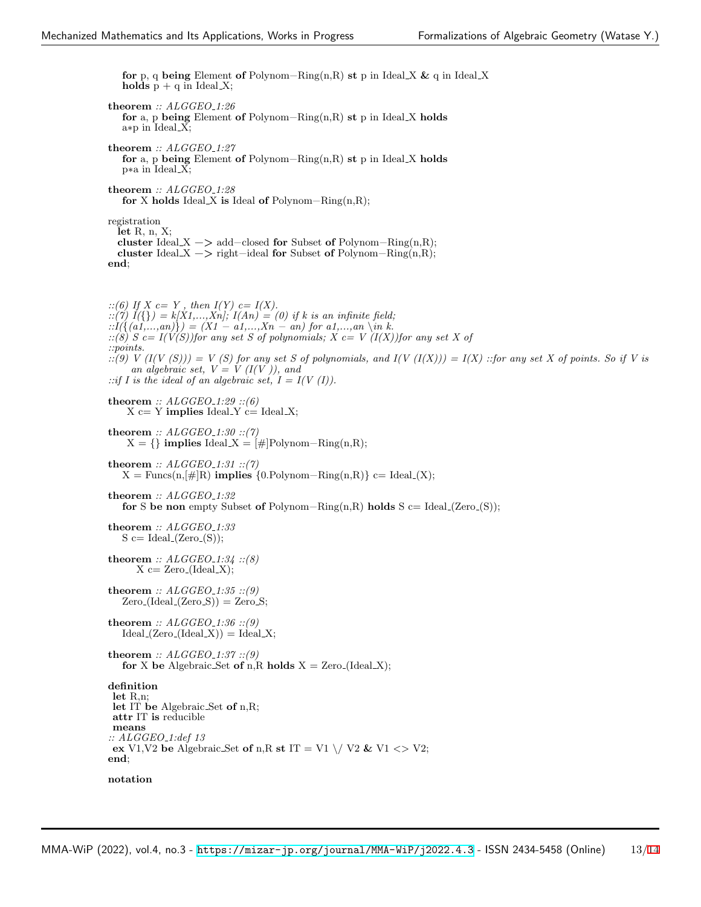**for** p, q **being** Element **of** Polynom−Ring(n,R) **st** p in Ideal X **&** q in Ideal X **holds**  $p + q$  in Ideal X; **theorem** *:: ALGGEO 1:26* **for** a, p **being** Element **of** Polynom−Ring(n,R) **st** p in Ideal X **holds** a∗p in Ideal X; **theorem** *:: ALGGEO 1:27* **for** a, p **being** Element **of** Polynom−Ring(n,R) **st** p in Ideal X **holds** p∗a in Ideal X; **theorem** *:: ALGGEO 1:28* **for** X **holds** Ideal X **is** Ideal **of** Polynom−Ring(n,R); registration **let** R, n, X; **cluster** Ideal X −*>* add−closed **for** Subset **of** Polynom−Ring(n,R); **cluster** Ideal X −*>* right−ideal **for** Subset **of** Polynom−Ring(n,R); **end**; *::(6) If X c= Y , then I(Y) c= I(X). ::(7) I({}) = k[X1,...,Xn]; I(An) = (0) if k is an infinite field; ::I({(a1,...,an)}) = (X1 − a1,...,Xn − an) for a1,...,an \in k. ::(8) S c= I(V(S))for any set S of polynomials; X c= V (I(X))for any set X of ::points.*  $\therefore$ :(9) V (I(V (S))) = V (S) for any set S of polynomials, and I(V (I(X))) = I(X) ::for any set X of points. So if V is *an algebraic set,*  $V = V (I(V))$ *, and* ::if I is the ideal of an algebraic set,  $I = I(V(I))$ . **theorem** *:: ALGGEO 1:29 ::(6)*  $X \subset Y$  **implies** Ideal  $Y \subset Y$  Ideal  $X$ ; **theorem** *:: ALGGEO 1:30 ::(7)*  $X = \{\}\$ implies Ideal  $X = [\#]$ Polynom–Ring $(n, R);$ **theorem** *:: ALGGEO 1:31 ::(7)*  $X = \text{Funcs}(n, \lbrack\# \rbrack R)$  **implies**  $\{0 \cdot \text{Polynom} - \text{Ring}(n, R)\}$  c= Ideal\_(X); **theorem** *:: ALGGEO 1:32* **for** S **be non** empty Subset **of** Polynom−Ring(n,R) **holds** S c= Ideal (Zero (S)); **theorem** *:: ALGGEO 1:33*  $S \subset \text{Ideal}_2(\text{Zero}_S);$ **theorem**  $::$   $ALGGEO_1:34::(8)$  $X \n \text{c} = \text{Zero}(Ideal.X);$ **theorem** *:: ALGGEO 1:35 ::(9)*  $Zero_{\text{[Ideal_{\text{[Zero}}S)}} = Zero_{\text{[S]}}$ **theorem** *:: ALGGEO 1:36 ::(9)*  $Ideal_{\mathcal{L}}(Zero_{\mathcal{L}}(Ideal_{\mathcal{X}})) = Ideal_{\mathcal{X}};$ **theorem** *:: ALGGEO 1:37 ::(9)* **for** X be Algebraic Set of n,R holds  $X = \text{Zero}(\text{Ideal}X);$ **definition let** R,n; **let** IT **be** Algebraic Set **of** n,R; **attr** IT **is** reducible **means** *:: ALGGEO 1:def 13* **ex** V1,V2 **be** Algebraic Set **of** n,R **st** IT = V1  $\setminus$  V2 & V1 <> V2; **end**; **notation**